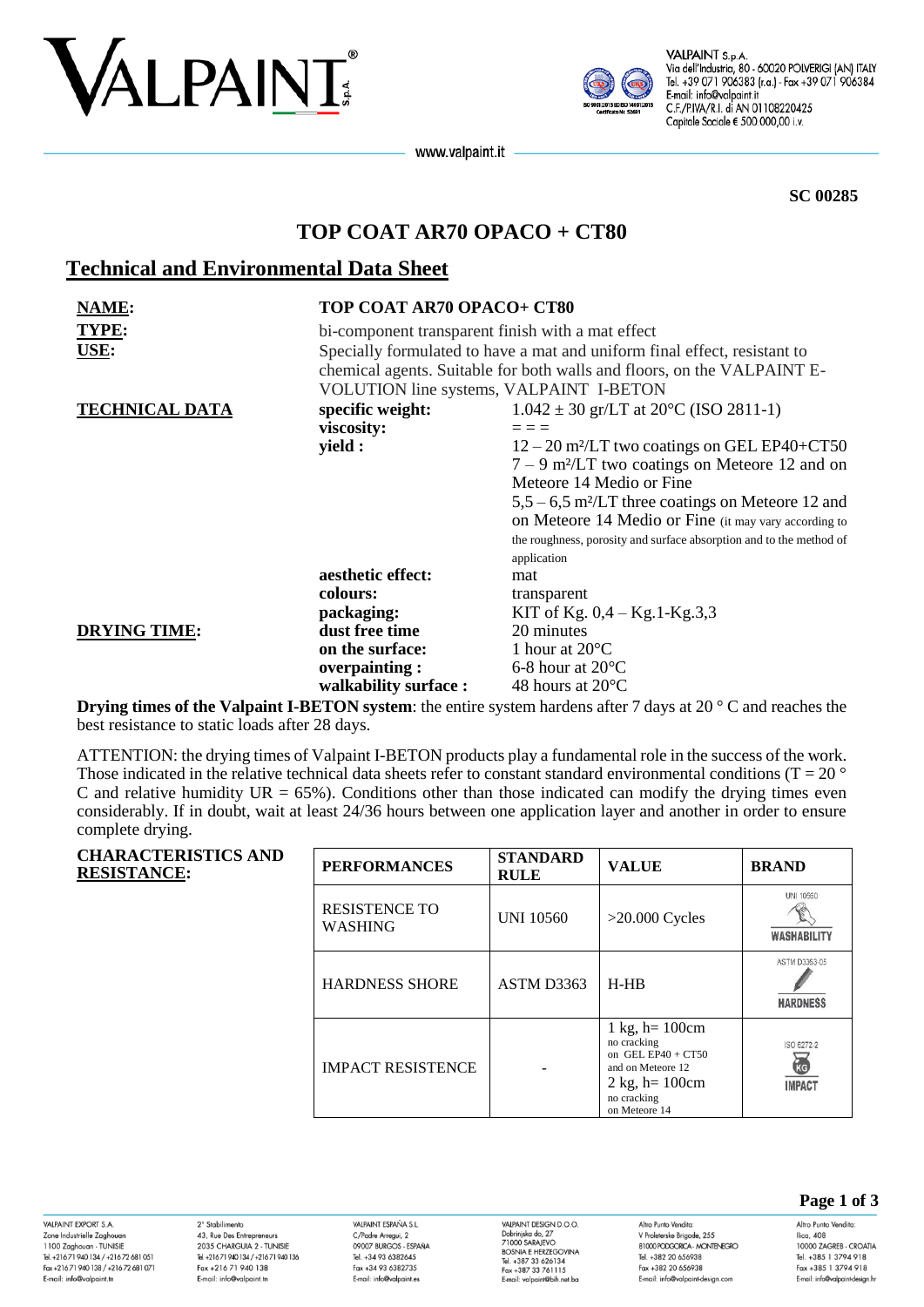



VALPAINT S.p.A. Via dell'Industria, 80 - 60020 POLVERIGI (AN) ITALY Tel. +39 071 906383 (r.a.) - Fax +39 071 906384 E-mail: info@valpaint.it C.F./P.IVA/R.I. di AN 01108220425 Capitale Sociale € 500.000,00 i.v.

www.valpaint.it

**SC 00285**

# **TOP COAT AR70 OPACO + CT80**

## **Technical and Environmental Data Sheet**

| <b>NAME:</b>          | TOP COAT AR70 OPACO+ CT80                                                                                                                                                                                 |                                                                     |  |
|-----------------------|-----------------------------------------------------------------------------------------------------------------------------------------------------------------------------------------------------------|---------------------------------------------------------------------|--|
| TYPE:<br>USE:         | bi-component transparent finish with a mat effect<br>Specially formulated to have a mat and uniform final effect, resistant to<br>chemical agents. Suitable for both walls and floors, on the VALPAINT E- |                                                                     |  |
|                       | VOLUTION line systems, VALPAINT I-BETON                                                                                                                                                                   |                                                                     |  |
| <b>TECHNICAL DATA</b> | specific weight:                                                                                                                                                                                          | $1.042 \pm 30$ gr/LT at 20 $^{\circ}$ C (ISO 2811-1)                |  |
|                       | viscosity:                                                                                                                                                                                                | $=$ $=$ $=$                                                         |  |
|                       | yield :                                                                                                                                                                                                   | $12 - 20$ m <sup>2</sup> /LT two coatings on GEL EP40+CT50          |  |
|                       |                                                                                                                                                                                                           | $7 - 9$ m <sup>2</sup> /LT two coatings on Meteore 12 and on        |  |
|                       |                                                                                                                                                                                                           | Meteore 14 Medio or Fine                                            |  |
|                       |                                                                                                                                                                                                           | $5,5-6,5$ m <sup>2</sup> /LT three coatings on Meteore 12 and       |  |
|                       |                                                                                                                                                                                                           | on Meteore 14 Medio or Fine (it may vary according to               |  |
|                       |                                                                                                                                                                                                           | the roughness, porosity and surface absorption and to the method of |  |
|                       |                                                                                                                                                                                                           | application                                                         |  |
|                       | aesthetic effect:                                                                                                                                                                                         | mat                                                                 |  |
|                       | colours:                                                                                                                                                                                                  | transparent                                                         |  |
|                       | packaging:                                                                                                                                                                                                | KIT of Kg. $0,4 - Kg.1-Kg.3,3$                                      |  |
| <b>DRYING TIME:</b>   | dust free time                                                                                                                                                                                            | 20 minutes                                                          |  |
|                       | on the surface:                                                                                                                                                                                           | 1 hour at $20^{\circ}$ C                                            |  |
|                       | overpainting:                                                                                                                                                                                             | 6-8 hour at $20^{\circ}$ C                                          |  |
|                       | walkability surface:                                                                                                                                                                                      | 48 hours at $20^{\circ}$ C                                          |  |

**Drying times of the Valpaint I-BETON system**: the entire system hardens after 7 days at 20 ° C and reaches the best resistance to static loads after 28 days.

ATTENTION: the drying times of Valpaint I-BETON products play a fundamental role in the success of the work. Those indicated in the relative technical data sheets refer to constant standard environmental conditions ( $T = 20$   $\degree$ C and relative humidity  $UR = 65\%$ ). Conditions other than those indicated can modify the drying times even considerably. If in doubt, wait at least 24/36 hours between one application layer and another in order to ensure complete drying.

| <b>CHARACTERISTICS AND</b><br><b>RESISTANCE:</b> | <b>PERFORMANCES</b>                    | <b>STANDARD</b><br><b>RULE</b> | <b>VALUE</b>                                                                                                                                         | <b>BRAND</b>                           |
|--------------------------------------------------|----------------------------------------|--------------------------------|------------------------------------------------------------------------------------------------------------------------------------------------------|----------------------------------------|
|                                                  | <b>RESISTENCE TO</b><br><b>WASHING</b> | <b>UNI 10560</b>               | $>20.000$ Cycles                                                                                                                                     | UNI 10560<br><b><i>WASHABILITY</i></b> |
|                                                  | <b>HARDNESS SHORE</b>                  | ASTM D3363                     | $H-HB$                                                                                                                                               | ASTM D3363-05<br><b>HARDNESS</b>       |
|                                                  | <b>IMPACT RESISTENCE</b>               |                                | $1 \text{ kg}$ , h = 100 cm<br>no cracking<br>on GEL EP40 + $CT50$<br>and on Meteore 12<br>$2 \text{ kg}$ , h= 100cm<br>no cracking<br>on Meteore 14 | ISO 6272-2<br>RG<br><b>IMPACT</b>      |

VAI PAINT FYPORT S.A. Zone Industrielle Zaghoua 1100 Zaghouan - TUNISIE<br>Tel. +216 71 940 134 / +216 72 681 051 Fax +216 71 940 138 / +216 72 681 071 E-mail: info@valpaint.tn

2° Stabilimento 43, Rue Des Entrepreneurs 2035 CHARGUIA 2 - TUNISIE Tel. +21671 940 134 / +21671 940 136 Fax +216 71 940 138 E-mail: info@valpaint.tn

VAIRAINT ESPAÑA S I C/Padre Arregui, 2 OOOOZ BIJDCOS ESDAÑA Tel. +34 93 6382645 Fax +34 93 6382735 E-mail: info@valpaint.es

VAI PAINT DESIGN D O O VALPAINT DESIGN D.O.O.<br>Dobrinjska do, 27<br>71000 SARAJEVO<br>BOSNIA E HERZEGOVINA Tel. +387 33 626134 Fax +387 33 761115 E-mail: valpaint@bih.net.bo Altro Punto Vendita V Proleterske Brigade, 255 **RIOO BODGORCA - MONTENEGRO** Tel. +382 20 656938 Fax +382 20 656938 E-mail: info@valpaint-design.com

**Page 1 of 3**

Altro Punto Vendita: Ilica, 408 10000 ZAGREB - CROATIA Tel. +385 1 3794 918 Fax +385 1 3794 918 E-mail: info@valpaint-desian.hr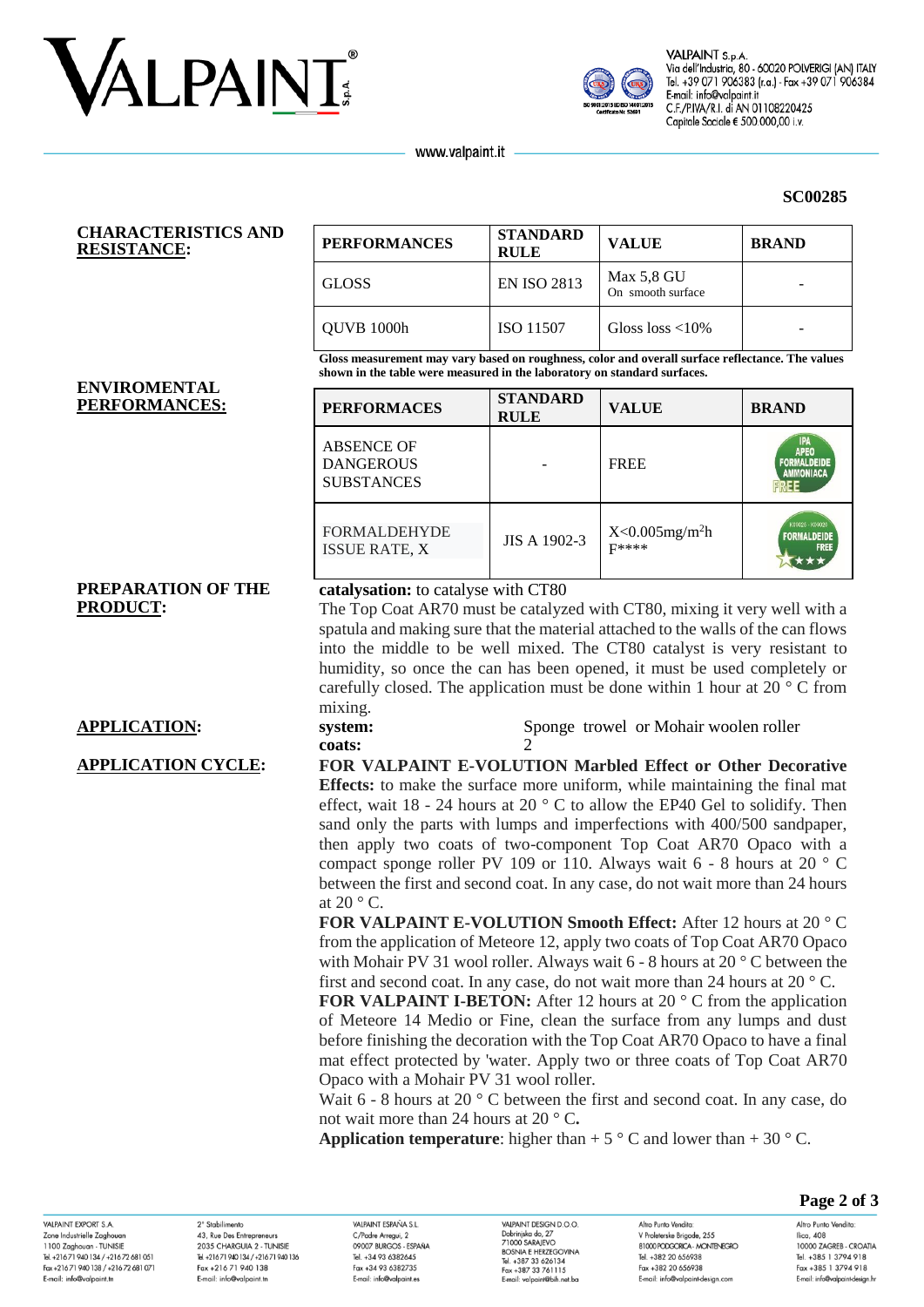



VALPAINT S.p.A Via dell'Industria, 80 - 60020 POLVERIGI (AN) ITALY Tel. +39 071 906383 (r.a.) - Fax +39 071 906384 E-mail: info@valpaint.it C.F./P.IVA/R.I. di AN 01108220425 Capitale Sociale € 500.000,00 i.v.

**SC00285**

www.valpaint.it

### **CHARACTERISTICS AND RESISTANCE:**

| <b>PERFORMANCES</b> | <b>STANDARD</b><br><b>RULE</b> | <b>VALUE</b>                    | <b>BRAND</b> |  |  |
|---------------------|--------------------------------|---------------------------------|--------------|--|--|
| GLOSS               | <b>EN ISO 2813</b>             | Max 5.8 GU<br>On smooth surface |              |  |  |
| QUVB 1000h          | ISO 11507                      | Gloss $loss < 10\%$             |              |  |  |

**Gloss measurement may vary based on roughness, color and overall surface reflectance. The values shown in the table were measured in the laboratory on standard surfaces.**

#### **ENVIROMENTAL**   $PERFORMANCES:$

| <b>PERFORMACES</b>                                         | <b>STANDARD</b><br><b>RULE</b> | <b>VALUE</b>                              | <b>BRAND</b>                                                        |
|------------------------------------------------------------|--------------------------------|-------------------------------------------|---------------------------------------------------------------------|
| <b>ABSENCE OF</b><br><b>DANGEROUS</b><br><b>SUBSTANCES</b> |                                | <b>FREE</b>                               | <b>IPA</b><br><b>APEO</b><br><b>FORMALDEIDE</b><br><b>AMMONIACA</b> |
| <b>FORMALDEHYDE</b><br><b>ISSUE RATE, X</b>                | <b>JIS A 1902-3</b>            | $X<0.005$ mg/m <sup>2</sup> h<br>$F$ **** | K09025 - K09026<br><b>FORMALDEIDE</b><br><b>FREE</b>                |

## **PREPARATION OF THE PRODUCT:**

## **catalysation:** to catalyse with CT80

The Top Coat AR70 must be catalyzed with CT80, mixing it very well with a spatula and making sure that the material attached to the walls of the can flows into the middle to be well mixed. The CT80 catalyst is very resistant to humidity, so once the can has been opened, it must be used completely or carefully closed. The application must be done within 1 hour at 20 ° C from mixing.

**APPLICATION: system:** Sponge trowel or Mohair woolen roller **coats:** 2

**APPLICATION CYCLE: FOR VALPAINT E-VOLUTION Marbled Effect or Other Decorative Effects:** to make the surface more uniform, while maintaining the final mat effect, wait 18 - 24 hours at 20 $\degree$  C to allow the EP40 Gel to solidify. Then sand only the parts with lumps and imperfections with 400/500 sandpaper, then apply two coats of two-component Top Coat AR70 Opaco with a compact sponge roller PV 109 or 110. Always wait 6 - 8 hours at 20 ° C between the first and second coat. In any case, do not wait more than 24 hours at  $20 \degree$  C.

**FOR VALPAINT E-VOLUTION Smooth Effect:** After 12 hours at 20 ° C from the application of Meteore 12, apply two coats of Top Coat AR70 Opaco with Mohair PV 31 wool roller. Always wait 6 - 8 hours at 20 ° C between the first and second coat. In any case, do not wait more than 24 hours at 20 ° C.

**FOR VALPAINT I-BETON:** After 12 hours at 20 ° C from the application of Meteore 14 Medio or Fine, clean the surface from any lumps and dust before finishing the decoration with the Top Coat AR70 Opaco to have a final mat effect protected by 'water. Apply two or three coats of Top Coat AR70 Opaco with a Mohair PV 31 wool roller.

Wait 6 - 8 hours at 20 ° C between the first and second coat. In any case, do not wait more than 24 hours at 20 ° C**.**

**Application temperature**: higher than  $+ 5 \degree$  C and lower than  $+ 30 \degree$  C.

VAI PAINT EYPORT & A Zone Industrielle Zaghoua 1100 Zaghouan - TUNISIE Tel. +21671940134/+21672681051 Fax +216 71 940 138 / +216 72 681 071 E-mail: info@valpaint.tr

2° Stabilimento 43, Rue Des Entrepreneurs 2025 CHARCLILA 2 TUNISIE Tel. +21671 940 134 / +21671 940 136 Fax +216 71 940 138 E-mail: info@valpaint.tn

VAIRAINT ESPAÑA S I C/Padre Arregui, 2 OOOOZ BIJDCOS ESDAÑA Tel. +34 93 6382645 Fax +34 93 6382735 E-mail: info@valpaint.es

VAIRAINT DESIGN D O O VALPAINT DESIGN D.C<br>Dobrinjska do, 27<br>71000 SARAJEVO<br>BOSNIA E HERZEGO Tel. +387 33 626134 Fax +387 33 761115 E-mail: valoaint@bib.net ba

Altro Punto Vendita V Proleterske Brigade, 255 **PRODUCED PRODUCT AND THE RECOMMENDED** Tel. +382 20 656938 Fax +382 20 656938 E-mail: info@valpaint-design.com

## **Page 2 of 3**

Altro Punto Vendita: Ilica, 408 10000 ZAGRER - CROATIA Tel. +385 1 3794 918 Fax +385 1 3794 918 E-mail: info@valpaint-desian.hr